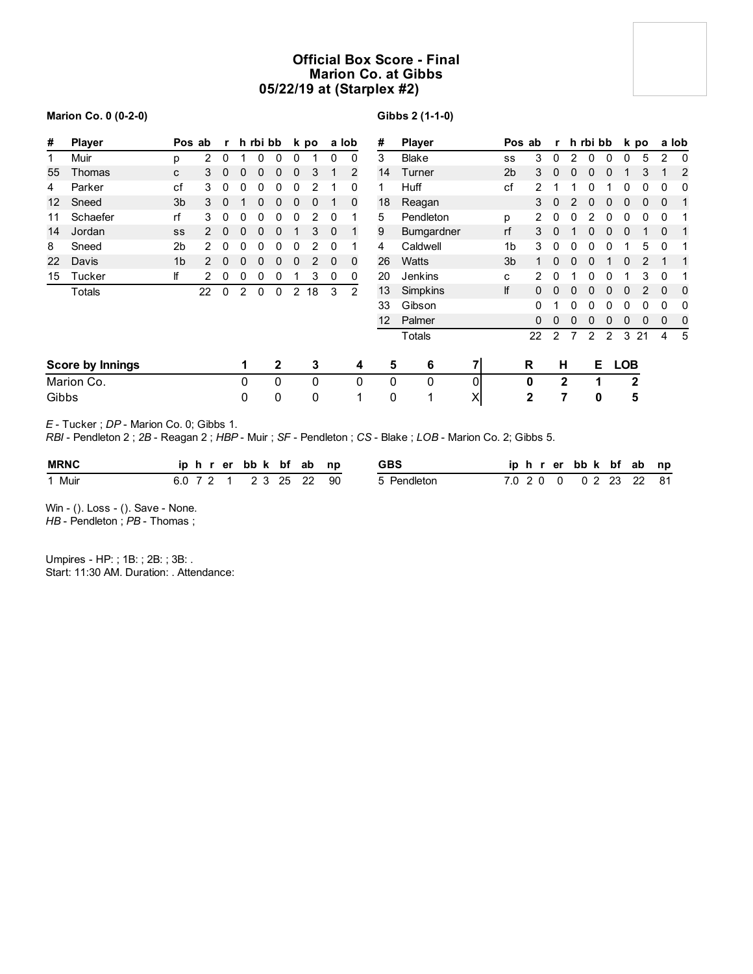## **Official Box Score - Final Marion Co. at Gibbs 05/22/19 at (Starplex #2)**

**Gibbs 2 (1-1-0)**

| #<br><b>Player</b>      |            | Pos ab         |               | $\mathbf{r}$ |   | h rbi bb |                | k po |    | a lob |             | #               | <b>Player</b> |              | Pos ab         |                |          | r h rbi bb   |          |               | k po         |    |             | a lob    |
|-------------------------|------------|----------------|---------------|--------------|---|----------|----------------|------|----|-------|-------------|-----------------|---------------|--------------|----------------|----------------|----------|--------------|----------|---------------|--------------|----|-------------|----------|
| 1                       | Muir       | p              | 2             | 0            |   | 0        | 0              | 0    |    | 0     | 0           | 3               | <b>Blake</b>  |              | SS             | 3              | $\Omega$ | 2            | 0        | 0             | 0            | 5  | 2           | $\Omega$ |
| 55                      | Thomas     | C              | 3             | $\mathbf{0}$ | 0 | 0        | 0              | 0    | 3  |       | 2           | 14              | Turner        |              | 2 <sub>b</sub> | 3              | 0        | 0            | $\Omega$ | 0             |              | 3  |             | 2        |
| 4                       | Parker     | cf             | 3             | 0            | 0 | 0        | 0              | 0    | 2  |       | 0           | 1               | Huff          |              | cf             | $\overline{2}$ |          |              | 0        |               | 0            | 0  | 0           | 0        |
| 12                      | Sneed      | 3 <sub>b</sub> | 3             | 0            |   | 0        | 0              | 0    | 0  |       | $\mathbf 0$ | 18              | Reagan        |              |                | 3              | $\Omega$ | 2            | 0        | 0             | 0            | 0  | $\mathbf 0$ |          |
| 11                      | Schaefer   | rf             | 3             | 0            | 0 | 0        | 0              | 0    | 2  | 0     |             | 5               | Pendleton     |              | p              | 2              |          |              |          | 0             | 0            | 0  | 0           |          |
| 14                      | Jordan     | SS             | $\mathcal{P}$ | $\mathbf{0}$ | 0 | 0        | 0              |      | 3  | 0     |             | 9               | Bumgardner    |              | rf             | 3              | 0        |              |          | 0             | 0            |    | 0           |          |
| 8                       | Sneed      | 2b             | 2             | 0            | 0 | 0        | 0              | 0    | 2  | 0     |             | 4               | Caldwell      |              | 1b             | 3              |          |              |          |               |              | 5  | 0           |          |
| 22                      | Davis      | 1 <sub>b</sub> | $\mathcal{P}$ | 0            | 0 | 0        | 0              | 0    | 2  | 0     | 0           | 26              | <b>Watts</b>  |              | 3b             |                |          | $\Omega$     |          |               | 0            | 2  |             |          |
| 15                      | Tucker     | lf             | 2             | 0            | 0 | 0        | 0              |      | 3  | 0     | 0           | 20              | Jenkins       |              | C              | 2              | 0        |              | 0        | 0             |              | 3  | 0           |          |
|                         | Totals     |                | 22            | 0            | 2 | 0        | 0              | 2    | 18 | 3     | 2           | 13              | Simpkins      |              | lf             | 0              | 0        | 0            | 0        | 0             | 0            |    | 0           | 0        |
|                         |            |                |               |              |   |          |                |      |    |       |             | 33              | Gibson        |              |                | 0              |          |              |          |               |              |    | 0           |          |
|                         |            |                |               |              |   |          |                |      |    |       |             | 12 <sup>2</sup> | Palmer        |              |                | 0              |          |              |          | 0             | 0            | 0  | 0           | 0        |
|                         |            |                |               |              |   |          |                |      |    |       |             |                 | Totals        |              |                | 22             | 2        |              | 2        | $\mathcal{P}$ | 3            | 21 | 4           | 5        |
| <b>Score by Innings</b> |            |                |               |              | 1 |          | $\overline{2}$ |      | 3  |       | 4           | 5               | 6             | $\mathbf{z}$ |                | R              |          | н            | Е        |               | <b>LOB</b>   |    |             |          |
|                         | Marion Co. |                |               |              | 0 |          | $\Omega$       |      | 0  |       | 0           | $\mathbf 0$     | 0             | 0            |                | 0              |          | $\mathbf{2}$ | 1        |               | $\mathbf{2}$ |    |             |          |
| Gibbs                   |            |                |               |              | 0 |          | 0              |      | 0  |       | 1           | $\mathbf 0$     | 1             | X            |                | $\mathbf{2}$   |          | 7            | 0        |               | 5            |    |             |          |

**Marion Co. 0 (0-2-0)**

#### *E* - Tucker ; *DP* - Marion Co. 0; Gibbs 1.

*RBI* - Pendleton 2 ; *2B* - Reagan 2 ; *HBP* - Muir ; *SF* - Pendleton ; *CS* - Blake ; *LOB* - Marion Co. 2; Gibbs 5.

| <b>MRNC</b> |  |  |  | iphrerbbk bfab np |                        | <b>GBS</b>  |  |  | iphrerbbk bfab np      |  |  |
|-------------|--|--|--|-------------------|------------------------|-------------|--|--|------------------------|--|--|
| 1 Muir      |  |  |  |                   | 6.0 7 2 1 2 3 25 22 90 | 5 Pendleton |  |  | 7.0 2 0 0 0 2 23 22 81 |  |  |

Win - (). Loss - (). Save - None.

*HB* - Pendleton ; PB - Thomas ;

Umpires - HP: ; 1B: ; 2B: ; 3B: . Start: 11:30 AM. Duration: . Attendance: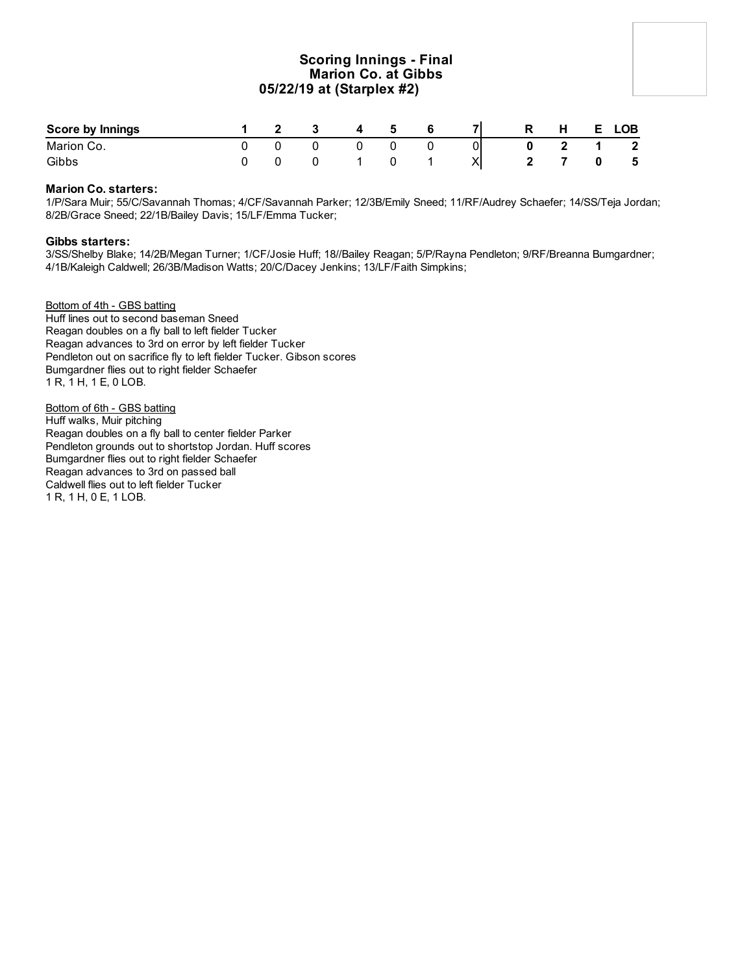### **Scoring Innings - Final Marion Co. at Gibbs 05/22/19 at (Starplex #2)**

| <b>Score by Innings</b> |  | ູ | $\mathbf{A}$ | -5 |  | R | Н. | E. | <b>LOB</b>              |
|-------------------------|--|---|--------------|----|--|---|----|----|-------------------------|
| Marion Co.              |  |   |              |    |  |   |    |    | $\overline{\mathbf{2}}$ |
| Gibbs                   |  |   |              |    |  |   |    |    | - 5                     |

### **Marion Co. starters:**

1/P/Sara Muir; 55/C/Savannah Thomas; 4/CF/Savannah Parker; 12/3B/Emily Sneed; 11/RF/Audrey Schaefer; 14/SS/Teja Jordan; 8/2B/Grace Sneed; 22/1B/Bailey Davis; 15/LF/Emma Tucker;

### **Gibbs starters:**

3/SS/Shelby Blake; 14/2B/Megan Turner; 1/CF/Josie Huff; 18//Bailey Reagan; 5/P/Rayna Pendleton; 9/RF/Breanna Bumgardner; 4/1B/Kaleigh Caldwell; 26/3B/Madison Watts; 20/C/Dacey Jenkins; 13/LF/Faith Simpkins;

Bottom of 4th - GBS batting Huff lines out to second baseman Sneed Reagan doubles on a fly ball to left fielder Tucker Reagan advances to 3rd on error by left fielder Tucker Pendleton out on sacrifice fly to left fielder Tucker. Gibson scores Bumgardner flies out to right fielder Schaefer 1 R, 1 H, 1 E, 0 LOB.

Bottom of 6th - GBS batting Huff walks, Muir pitching Reagan doubles on a fly ball to center fielder Parker Pendleton grounds out to shortstop Jordan. Huff scores Bumgardner flies out to right fielder Schaefer Reagan advances to 3rd on passed ball Caldwell flies out to left fielder Tucker 1 R, 1 H, 0 E, 1 LOB.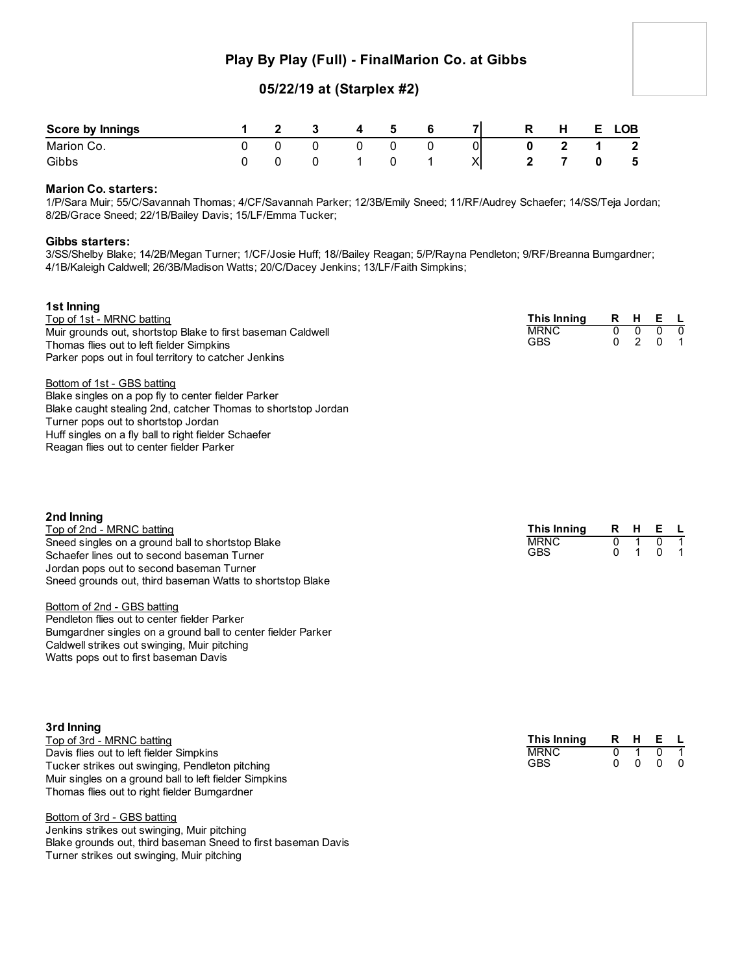# **Play By Play (Full) - FinalMarion Co. at Gibbs**

# **05/22/19 at (Starplex #2)**

| Score by Innings |  |  | 5 |                                  | Ð | н | ∟OB          |
|------------------|--|--|---|----------------------------------|---|---|--------------|
| Marion Co.       |  |  |   | Οl                               |   |   | $\mathbf{2}$ |
| Gibbs            |  |  |   | $\mathsf{v}\mathsf{l}$<br>$\sim$ |   |   | 5            |

### **Marion Co. starters:**

1/P/Sara Muir; 55/C/Savannah Thomas; 4/CF/Savannah Parker; 12/3B/Emily Sneed; 11/RF/Audrey Schaefer; 14/SS/Teja Jordan; 8/2B/Grace Sneed; 22/1B/Bailey Davis; 15/LF/Emma Tucker;

#### **Gibbs starters:**

3/SS/Shelby Blake; 14/2B/Megan Turner; 1/CF/Josie Huff; 18//Bailey Reagan; 5/P/Rayna Pendleton; 9/RF/Breanna Bumgardner; 4/1B/Kaleigh Caldwell; 26/3B/Madison Watts; 20/C/Dacey Jenkins; 13/LF/Faith Simpkins;

| 1st Inning<br>Top of 1st - MRNC batting<br>Muir grounds out, shortstop Blake to first baseman Caldwell<br>Thomas flies out to left fielder Simpkins<br>Parker pops out in foul territory to catcher Jenkins                                                                                                                                                                                                                                                                                  | This Inning<br><b>MRNC</b><br><b>GBS</b>        | R<br>$\overline{0}$<br>$\Omega$ | H<br>$\overline{0}$<br>2 | Е<br>$\overline{0}$<br>$\mathbf{0}$ | −L,<br>0<br>1 |
|----------------------------------------------------------------------------------------------------------------------------------------------------------------------------------------------------------------------------------------------------------------------------------------------------------------------------------------------------------------------------------------------------------------------------------------------------------------------------------------------|-------------------------------------------------|---------------------------------|--------------------------|-------------------------------------|---------------|
| Bottom of 1st - GBS batting<br>Blake singles on a pop fly to center fielder Parker<br>Blake caught stealing 2nd, catcher Thomas to shortstop Jordan<br>Turner pops out to shortstop Jordan<br>Huff singles on a fly ball to right fielder Schaefer<br>Reagan flies out to center fielder Parker                                                                                                                                                                                              |                                                 |                                 |                          |                                     |               |
| 2nd Inning<br>Top of 2nd - MRNC batting<br>Sneed singles on a ground ball to shortstop Blake<br>Schaefer lines out to second baseman Turner<br>Jordan pops out to second baseman Turner<br>Sneed grounds out, third baseman Watts to shortstop Blake<br>Bottom of 2nd - GBS batting<br>Pendleton flies out to center fielder Parker<br>Bumgardner singles on a ground ball to center fielder Parker<br>Caldwell strikes out swinging, Muir pitching<br>Watts pops out to first baseman Davis | <b>This Inning</b><br><b>MRNC</b><br><b>GBS</b> | R<br>$\overline{0}$<br>$\Omega$ | н<br>1<br>$\mathbf 1$    | Е<br>0<br>$\Omega$                  | 1             |
| 3rd Inning<br>Top of 3rd - MRNC batting                                                                                                                                                                                                                                                                                                                                                                                                                                                      | <b>This Inning</b>                              | R                               | H                        | Е.                                  |               |

| Top of 3rd - MRNC batting                              | Τh |
|--------------------------------------------------------|----|
| Davis flies out to left fielder Simpkins               | МF |
| Tucker strikes out swinging, Pendleton pitching        | GF |
| Muir singles on a ground ball to left fielder Simpkins |    |
| Thomas flies out to right fielder Bumgardner           |    |

Bottom of 3rd - GBS batting Jenkins strikes out swinging, Muir pitching Blake grounds out, third baseman Sneed to first baseman Davis Turner strikes out swinging, Muir pitching

| This Inning | R | н | F |  |
|-------------|---|---|---|--|
| <b>MRNC</b> |   |   |   |  |
| GBS         |   |   |   |  |